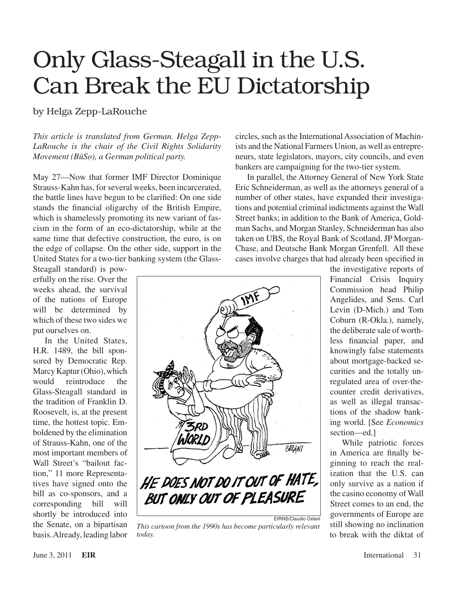## Only Glass-Steagall in the U.S. Can Break the EU Dictatorship

by Helga Zepp-LaRouche

*This article is translated from German. Helga Zepp-LaRouche is the chair of the Civil Rights Solidarity Movement (BüSo), a German political party.*

May 27—Now that former IMF Director Dominique Strauss-Kahn has, for several weeks, been incarcerated, the battle lines have begun to be clarified: On one side stands the financial oligarchy of the British Empire, which is shamelessly promoting its new variant of fascism in the form of an eco-dictatorship, while at the same time that defective construction, the euro, is on the edge of collapse. On the other side, support in the United States for a two-tier banking system (the Glass-

Steagall standard) is powerfully on the rise. Over the weeks ahead, the survival of the nations of Europe will be determined by which of these two sides we put ourselves on.

In the United States, H.R. 1489, the bill sponsored by Democratic Rep. Marcy Kaptur (Ohio), which would reintroduce the Glass-Steagall standard in the tradition of Franklin D. Roosevelt, is, at the present time, the hottest topic. Emboldened by the elimination of Strauss-Kahn, one of the most important members of Wall Street's "bailout faction," 11 more Representatives have signed onto the bill as co-sponsors, and a corresponding bill will shortly be introduced into the Senate, on a bipartisan basis.Already, leading labor



*This cartoon from the 1990s has become particularly relevant today.*

circles, such as the International Association of Machinists and the National Farmers Union, as well as entrepreneurs, state legislators, mayors, city councils, and even bankers are campaigning for the two-tier system.

In parallel, the Attorney General of New York State Eric Schneiderman, as well as the attorneys general of a number of other states, have expanded their investigations and potential criminal indictments against the Wall Street banks; in addition to the Bank of America, Goldman Sachs, and Morgan Stanley, Schneiderman has also taken on UBS, the Royal Bank of Scotland, JP Morgan-Chase, and Deutsche Bank Morgan Grenfell. All these cases involve charges that had already been specified in

> the investigative reports of Financial Crisis Inquiry Commission head Philip Angelides, and Sens. Carl Levin (D-Mich.) and Tom Coburn (R-Okla.), namely, the deliberate sale of worthless financial paper, and knowingly false statements about mortgage-backed securities and the totally unregulated area of over-thecounter credit derivatives, as well as illegal transactions of the shadow banking world. [See *Economics* section—ed.]

> While patriotic forces in America are finally beginning to reach the realization that the U.S. can only survive as a nation if the casino economy of Wall Street comes to an end, the governments of Europe are still showing no inclination to break with the diktat of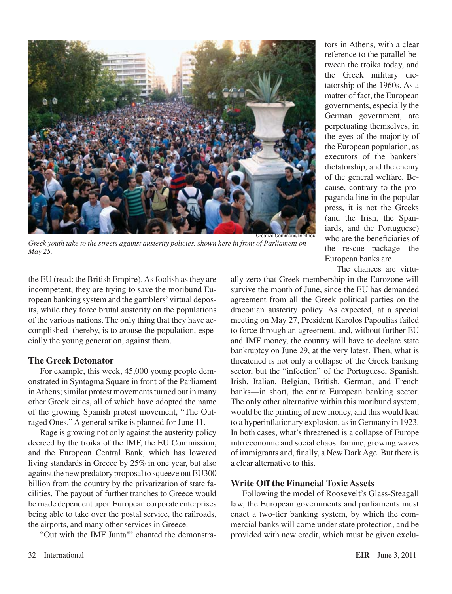

*Greek youth take to the streets against austerity policies, shown here in front of Parliament on May 25.*

the EU (read: the British Empire). As foolish as they are incompetent, they are trying to save the moribund European banking system and the gamblers'virtual deposits, while they force brutal austerity on the populations of the various nations. The only thing that they have accomplished thereby, is to arouse the population, especially the young generation, against them.

## **The Greek Detonator**

For example, this week, 45,000 young people demonstrated in Syntagma Square in front of the Parliament in Athens; similar protest movements turned out in many other Greek cities, all of which have adopted the name of the growing Spanish protest movement, "The Outraged Ones." A general strike is planned for June 11.

Rage is growing not only against the austerity policy decreed by the troika of the IMF, the EU Commission, and the European Central Bank, which has lowered living standards in Greece by 25% in one year, but also against the new predatory proposal to squeeze out EU300 billion from the country by the privatization of state facilities. The payout of further tranches to Greece would be made dependent upon European corporate enterprises being able to take over the postal service, the railroads, the airports, and many other services in Greece.

"Out with the IMF Junta!" chanted the demonstra-

tors in Athens, with a clear reference to the parallel between the troika today, and the Greek military dictatorship of the 1960s. As a matter of fact, the European governments, especially the German government, are perpetuating themselves, in the eyes of the majority of the European population, as executors of the bankers' dictatorship, and the enemy of the general welfare. Because, contrary to the propaganda line in the popular press, it is not the Greeks (and the Irish, the Spaniards, and the Portuguese) who are the beneficiaries of the rescue package—the European banks are.

The chances are virtu-

ally zero that Greek membership in the Eurozone will survive the month of June, since the EU has demanded agreement from all the Greek political parties on the draconian austerity policy. As expected, at a special meeting on May 27, President Karolos Papoulias failed to force through an agreement, and, without further EU and IMF money, the country will have to declare state bankruptcy on June 29, at the very latest. Then, what is threatened is not only a collapse of the Greek banking sector, but the "infection" of the Portuguese, Spanish, Irish, Italian, Belgian, British, German, and French banks—in short, the entire European banking sector. The only other alternative within this moribund system, would be the printing of new money, and this would lead to a hyperinflationary explosion, as in Germany in 1923. In both cases, what's threatened is a collapse of Europe into economic and social chaos: famine, growing waves of immigrants and, finally, a New DarkAge. But there is a clear alternative to this.

## **Write Off the Financial Toxic Assets**

Following the model of Roosevelt's Glass-Steagall law, the European governments and parliaments must enact a two-tier banking system, by which the commercial banks will come under state protection, and be provided with new credit, which must be given exclu